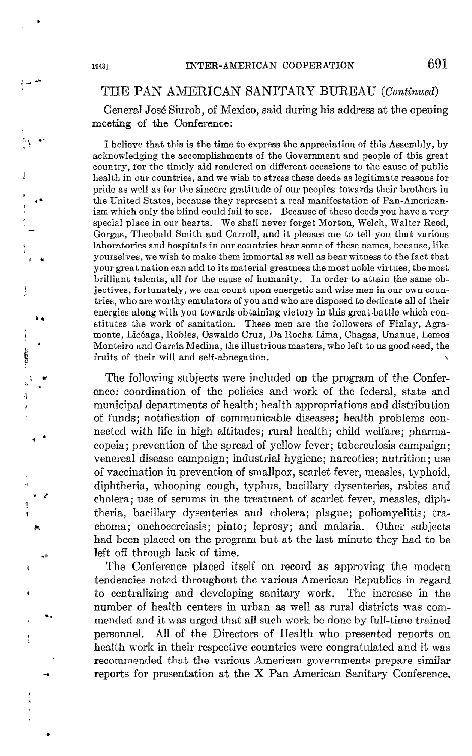## THE PAN AMERICAN SANITARY BUREAU (Continued)

General José Siurob, of Mexico, said during his address at the opening meeting of the Conference:

I believe that this is the time to express the appreciation of this Assembly, by acknowledging the accomplishments of the Government and people of this great country, for the timely aid rendered on different occasions to the cause of public health in our countries, and we wish to stress these deeds as legitimate reasons for pride as well as for the sincere gratitude of our peoples towards their brothers in the United States, because they represent a real manifestation of Pan-Americanism which only the blind could fail to see. Because of these deeds you have a very special place in our hearts. We shall never forget Morton, Welch, Walter Reed, Gorgas, Theobald Smith and Carroll, and it pleases me to te11 you that various laboratories and hospitals in our countries bear some of these names, because, like yourselves, we wish to make them immortal as well as bear witness to the fact that your great nation can add to its material greatness the most noble virtues, the most brilliant talents, all for the cause of humanity. In order to attain the same objectives, fortunately, we can count upon energetic and wise men in our own countries, who are worthy emulators of you and who are disposed to dedicate al1 of their energies along with you towards obtaining victory in this great.battle which constitutes the work of sanitation. These men are the followers of Finlay, Agramonte, Licéaga, Robles, Oswaldo Cruz, Da Rocha Lima, Chagas, Unanue, Lemos Monteiro and García Medina, the illustrious masters, who left to us good seed, the fruits of their will and self-abnegation.

The following subjects were included on the program of the Conference: coordination of the policies and work of the federal, state and municipal departments of health; health appropriations and distribution of funds; notification of communicable diseases; health problems connected with life in high altitudes; rural health; Child welfare; pharmacopeia; prevention of the spread of yellow fever; tuberculosis campaign; venereal disease campaign; industrial hygiene; narcotics; nutrition; use of vaccination in prevention of smallpox, scarlet fever, measles, typhoid, diphtheria, whooping cough, typhus, bacillary dysenteries, rabies and cholera; use of serums in the treatment of scarlet fever, measles, diphtheria, bacillary dysenteries and cholera; plague; poliomyelitis; trachoma; onchocerciasis; pinto; leprosy; and malaria. Qther subjects had been placed on the program but at the last minute they had to be left off through lack of time.

The Conference placed itself on record as approving the modern tendencies noted throughout the various American Republics in regard to centralizing and developing sanitary work. The increase in the number of health centers in urban as well as rural districts was commended and it was urged that al1 such work be done by full-time trained personnel. Al1 of the Directors of Health who presented reports on health work in their respective countries were congratulated and it was recommended that the various American governments prepare similar reports for presentation at the  $X$  Pan American Sanitary Conference.

 $\sum_{i=1}^n$ 

 $\downarrow$ 

g ' \ +< i, -

 $\ddot{\phantom{a}}$ 

t l

. .

.

4 \* <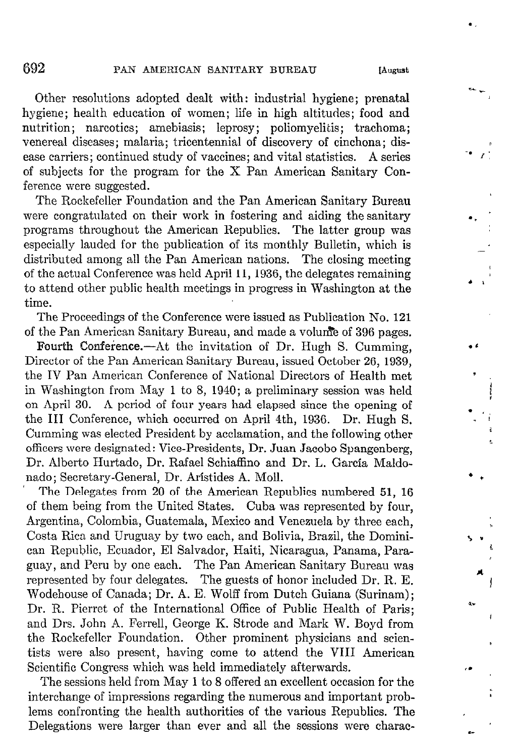$\cdot$  r:

 $\ddot{\phantom{a}}$ 

i.

. ,  $\mathbf{r}$ 

l .

\* 3 m

rl

Other resolutions adopted dealt with: industrial hygiene; prenatal hygiene; health education of women; life in high altitudes; food and nutrition; narcotics; amebiasis; leprosy; poliomyelitis; trachoma; venereal diseases; malaria; tricentennial of discovery of cinchona; disease carriers; continued study of vaccines; and vital statistics. A series of subjects for the program for the  $X$  Pan American Sanitary Conference were suggested.

The Rockefeller Foundation and the Pan American Sanitary Bureau were congratulated on their work in fostering and aiding the sanitary programs throughout the American Republics. The latter group was especially lauded for the publication of its monthly Bulletin, which is distributed among all the Pan American nations. The closing meeting of the actual Conference was held April 11, 1936, the delegates remaining to attend other public health meetings in progress in Washington at the time.

The Proceedings of the Conference were issued as Publication No. 121 of the Pan American Sanitary Bureau, and made a volunce of 396 pages.

Fourth Conference.--At the invitation of Dr. Hugh S. Cumming, Director of the Pan American Sanitary Bureau, issued October 26, 1939, the IV Pan American Conference of National Directors of Health met in Washington from May 1 to 8, 1940; a preliminary session was held on April 30. A period of four years had elapsed since the opening of the III Conference, which occurred on April 4th, 1936. Dr. Hugh S. Cumming was elected President by acclamation, and the following other officers were designated: Vice-Presidents, Dr. Juan Jacobo Spangenberg, Dr. Alberto Hurtado, Dr. Rafael Schiaffino and Dr. L. Garcfa Maldonado; Secretary-General, Dr. Aristides A. Moll.

The Delegates from 20 of the American Republics numbered 51, 16 of them being from the United States. Cuba was represented by four, Argentina, Colombia, Guatemala, Mexico and Venezuela by three each, Costa Rica and Uruguay by two each, and Bolivia, Brazil, the Dominican Rcpublic, Ecuador, El Salvador, Haiti, Nicaragua, Panama, Paraguay, and Peru by one each. The Pan American Sanitary Bureau was represented by four delegates. The guests of honor included Dr. R. E. Wodehouse of Canada; Dr. A. E. Wolff from Dutch Guiana (Surinam); Dr. R. Pierret of the International Office of Public Health of Paris; and Drs. John A. Ferrell, George K. Strode and Mark W. Boyd from the Rockefeller Foundation. Other prominent physicians and scientists were also present, having come to attend the VIII American Scientific Congress which was held immediately afterwards.

The sessions held from May 1 to 8 offered an excellent occasion for the interchange of impressions regarding the numerous and important problems confronting the health authorities of the various Republics. The Delegations were larger than ever and al1 the sessions were charac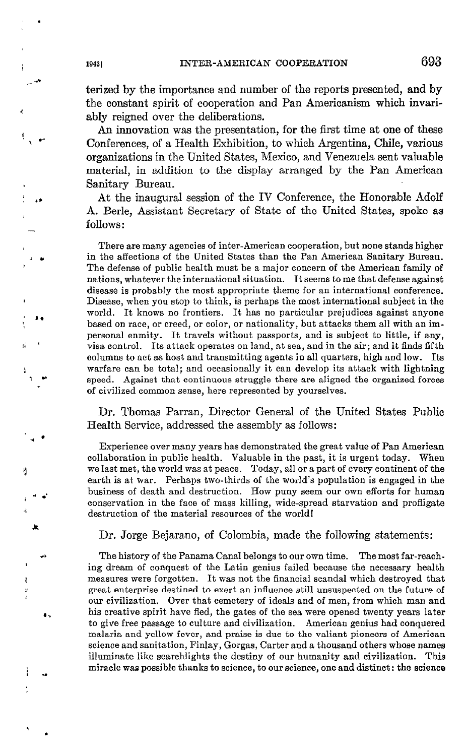terized by the importance and number of the reports presented, and by the constant spirit of cooperation and Pan Americanism which invariably reigned over the deliberations.

An innovation was the presentation, for the first time at one of these Conferences, of a Health Exhibition, to which Argentina, ChiIe, various organizations in the United States, Mexico, and Venezuela sent valuable material, in addition to the display arranged by the Pan American Sanitary Bureau.

At the inaugural session of the IV Conference, the Honorable Adolf A. Berle, Assistant Secretary of State of the United States, spoke as follows:

There are many agencies of inter-American cooperation, but none stands higher in the affections of the United States than the Pan Ameritan Sanitary Bureau. The defense of public health must be a major concern of the American family of nations, whatever the international situation. It seems tome that defense against disease is probably the most appropriate theme for an international conference. Disease, when you stop to think, is perhaps the most international subject in the world. It knows no frontiers. It has no particular prejudices against anyone based on race, or creed, or color, or nationality, but attacks them al1 with an impersonal enmity. It travels without passports, and is subject to little, if any, visa control. Its attack operates on land, at sea, and in the air; and it finds fifth columns to actas host and transmitting agents in al1 quarters, high and low. Its warfare can be total; and occasionally it can develop its attack with lightning speed. Against that continuous struggle there are aligned the organieed forces of civilized common sense, here represented by yourselves.

Dr. Thomas Parran, Director General of the United States Public Health Service, addressed the assembly as follows:

Experience over many years has demonstrated the great value of Pan American collaboration in public health. Valuable in the past, it is urgent today. When we last met, the world was at peace. Today, al1 ora part of every continent of the earth is at war. Perhaps two-thirds of the world's population is engaged in the business of death and destruction. How puny seem our own efforts for human conservation in the face of mass killing, wide-spread starvation and profligate destruction of the material resources of the worldl

Dr. Jorge Bejarano, of Colombia, made the following statements:

The history of the Panama Canal belongs to our own time. The most far-reaching dream of conquest of the Latin genius failed because the necessary health measures were forgotten. It was not the financial scandal which destroyed that great enterprise destined to exert an influente still unsuspected on the future of our civiliaation. Qver that cemetery of ideals and of men, from which man and his creative spirit have fled, the gates of the sea were opened twenty years later to give free passage to culture and civilization. American genius had conquered malaria and yellow fever, and praise is due to the valiant pioneers of Ameritan science and sanitation, Finlay, Gorgas, Carter and a thousand others whose names illuminate like searchlights the destiny of our humanity and civilization. This miracle waa possible thanks to science, to our science, one and distinct : the science

t) 1 ·

1.

 $\overline{\mathbf{s}}$ 

4

\* d

느

ą ¥

.,

1 I u

1 .\*